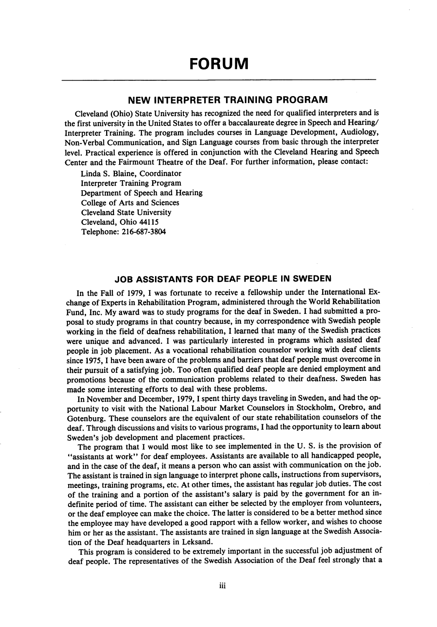## NEW INTERPRETER TRAINING PROGRAM

Cleveland (Ohio) State University has recognized the need for qualified interpreters and is the first university in the United States to offer a baccalaureate degree in Speech and Hearing/ Interpreter Training. The program includes courses in Language Development, Audiology, Non-Verbal Communication, and Sign Language courses from basic through the interpreter level. Practical experience is offered in conjunction with the Cleveland Hearing and Speech Center and the Fairmount Theatre of the Deaf. For further information, please contact:

Linda S. Elaine, Coordinator Interpreter Training Program Department of Speech and Hearing College of Arts and Sciences Cleveland State University Cleveland, Ohio 44115 Telephone: 216-687-3804

## JOB ASSISTANTS FOR DEAF PEOPLE IN SWEDEN

In the Fall of 1979, I was fortunate to receive a fellowship under the International Ex change of Experts in Rehabilitation Program, administered through the World Rehabilitation Fund, Inc. My award was to study programs for the deaf in Sweden. I had submitted a pro posal to study programs in that country because, in my correspondence with Swedish people working in the field of deafness rehabilitation, I learned that many of the Swedish practices were unique and advanced. I was particularly interested in programs which assisted deaf people in job placement. As a vocational rehabilitation counselor working with deaf clients since 1975, 1 have been aware of the problems and barriers that deaf people must overcome in their pursuit of a satisfying job. Too often qualified deaf people are denied employment and promotions because of the communication problems related to their deafness. Sweden has made some interesting efforts to deal with these problems.

In November and December, 1979, I spent thirty days traveling in Sweden, and had the opportunity to visit with the National Labour Market Counselors in Stockholm, Orebro, and Gotenburg. These counselors are the equivalent of our state rehabilitation counselors of the deaf. Through discussions and visits to various programs, I had the opportunity to learn about Sweden's job development and placement practices.

The program that I would most like to see implemented in the U. S. is the provision of ^'assistants at work" for deaf employees. Assistants are available to all handicapped people, and in the case of the deaf, it means a person who can assist with communication on the job. The assistant is trained in sign language to interpret phone calls, instructions from supervisors, meetings, training programs, etc. At other times, the assistant has regular job duties. The cost of the training and a portion of the assistant's salary is paid by the government for an in definite period of time. The assistant can either be selected by the employer from volunteers, or the deaf employee can make the choice. The latter is considered to be a better method since the employee may have developed a good rapport with a fellow worker, and wishes to choose him or her as the assistant. The assistants are trained in sign language at the Swedish Associa tion of the Deaf headquarters in Leksand.

This program is considered to be extremely important in the successful job adjustment of deaf people. The representatives of the Swedish Association of the Deaf feel strongly that a